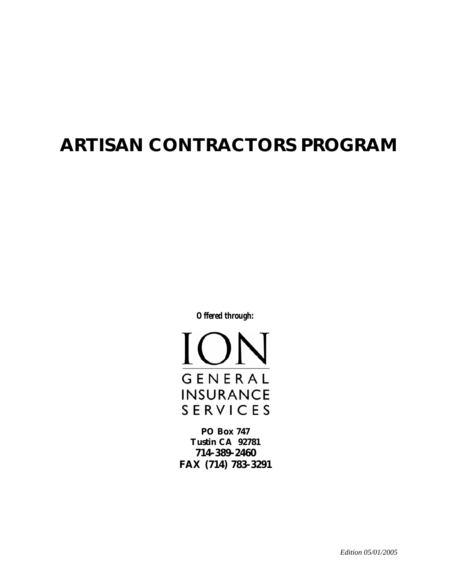# **ARTISAN CONTRACTORS PROGRAM**

*Offered through:* 

<u>IC</u> GENERAL **INSURANCE SERVICES** 

**PO Box 747 Tustin CA 92781 714-389-2460 FAX (714) 783-3291** 

*Edition 05/01/2005*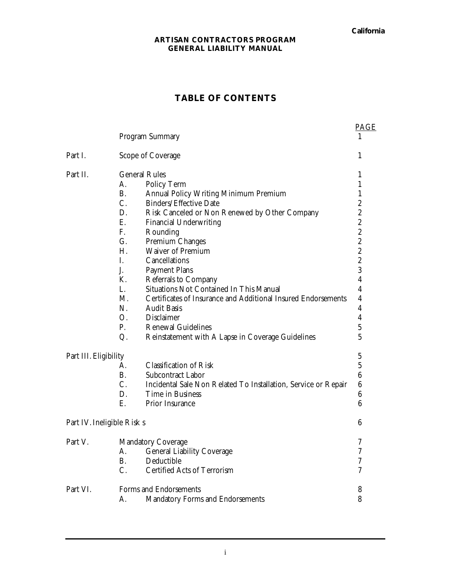**California** 

#### **ARTISAN CONTRACTORS PROGRAM GENERAL LIABILITY MANUAL**

# **TABLE OF CONTENTS**

|                            |                      | Program Summary                                                | <b>PAGE</b>      |
|----------------------------|----------------------|----------------------------------------------------------------|------------------|
| Part I.                    |                      | Scope of Coverage                                              | 1                |
| Part II.                   | <b>General Rules</b> |                                                                | $\mathbf{1}$     |
|                            | А.                   | Policy Term                                                    | 1                |
|                            | <b>B.</b>            | Annual Policy Writing Minimum Premium                          | $\mathbf{1}$     |
|                            | $C$ .                | Binders/Effective Date                                         | $\boldsymbol{2}$ |
|                            | D.                   | Risk Canceled or Non Renewed by Other Company                  | $\overline{c}$   |
|                            | E.                   | <b>Financial Underwriting</b>                                  | $\overline{c}$   |
|                            | F.                   | Rounding                                                       | $\overline{c}$   |
|                            | G.                   | Premium Changes                                                | $\overline{c}$   |
|                            | Η.                   | <b>Waiver of Premium</b>                                       | $\overline{c}$   |
|                            | I.                   | Cancellations                                                  | $\overline{c}$   |
|                            | J.                   | <b>Payment Plans</b>                                           | 3                |
|                            | K.                   | Referrals to Company                                           | $\overline{4}$   |
|                            | L.                   | Situations Not Contained In This Manual                        | 4                |
|                            | $M_{\cdot}$          | Certificates of Insurance and Additional Insured Endorsements  | 4                |
|                            | N.                   | <b>Audit Basis</b>                                             | 4                |
|                            | O.                   | Disclaimer                                                     | $\overline{4}$   |
|                            | P.                   | <b>Renewal Guidelines</b>                                      | 5                |
|                            | Q.                   | Reinstatement with A Lapse in Coverage Guidelines              | 5                |
| Part III. Eligibility      |                      |                                                                | $\bf 5$          |
|                            | $A_{-}$              | <b>Classification of Risk</b>                                  | 5                |
|                            | <b>B.</b>            | Subcontract Labor                                              | $\boldsymbol{6}$ |
|                            | C.                   | Incidental Sale Non Related To Installation, Service or Repair | $6\phantom{.}6$  |
|                            | D.                   | Time in Business                                               | 6                |
|                            | E.                   | Prior Insurance                                                | 6                |
| Part IV. Ineligible Risk s |                      |                                                                | $6\phantom{1}6$  |
| Part V.                    |                      | <b>Mandatory Coverage</b>                                      | 7                |
|                            | А.                   | <b>General Liability Coverage</b>                              | 7                |
|                            | В.                   | Deductible                                                     | 7                |
|                            | C.                   | Certified Acts of Terrorism                                    | $\overline{7}$   |
| Part VI.                   |                      | Forms and Endorsements                                         | 8                |
|                            | A.                   | Mandatory Forms and Endorsements                               | 8                |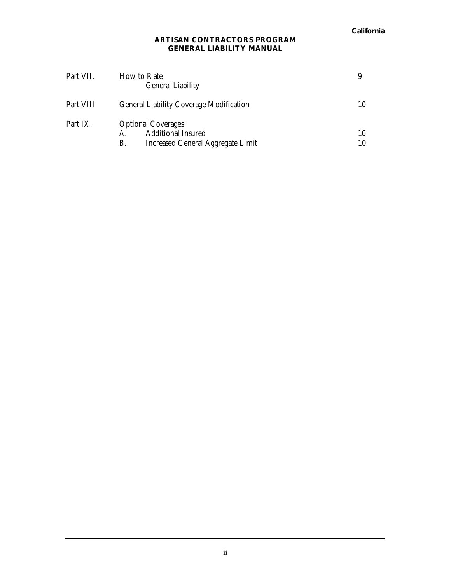| Part VII.  | How to Rate<br><b>General Liability</b>                                                    | 9        |
|------------|--------------------------------------------------------------------------------------------|----------|
| Part VIII. | General Liability Coverage Modification                                                    | 10       |
| Part IX.   | <b>Optional Coverages</b><br>Additional Insured<br>Increased General Aggregate Limit<br>В. | 10<br>10 |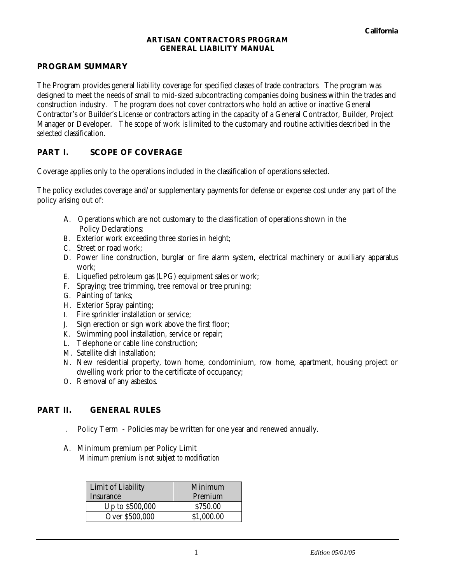## **PROGRAM SUMMARY**

The Program provides general liability coverage for specified classes of trade contractors. The program was designed to meet the needs of small to mid-sized subcontracting companies doing business within the trades and construction industry. The program does not cover contractors who hold an active or inactive General Contractor's or Builder's License or contractors acting in the capacity of a General Contractor, Builder, Project Manager or Developer. The scope of work is limited to the customary and routine activities described in the selected classification.

## **PART I. SCOPE OF COVERAGE**

Coverage applies only to the operations included in the classification of operations selected.

The policy excludes coverage and/or supplementary payments for defense or expense cost under any part of the policy arising out of:

- A. Operations which are not customary to the classification of operations shown in the Policy Declarations;
- B. Exterior work exceeding three stories in height;
- C. Street or road work;
- D. Power line construction, burglar or fire alarm system, electrical machinery or auxiliary apparatus work;
- E. Liquefied petroleum gas (LPG) equipment sales or work;
- F. Spraying; tree trimming, tree removal or tree pruning;
- G. Painting of tanks;
- H. Exterior Spray painting;
- I. Fire sprinkler installation or service;
- J. Sign erection or sign work above the first floor;
- K. Swimming pool installation, service or repair;
- L. Telephone or cable line construction;
- M. Satellite dish installation;
- N. New residential property, town home, condominium, row home, apartment, housing project or dwelling work prior to the certificate of occupancy;
- O. Removal of any asbestos.

## **PART II. GENERAL RULES**

- . Policy Term Policies may be written for one year and renewed annually.
- A. Minimum premium per Policy Limit *Minimum premium is not subject to modification*

| Limit of Liability<br>Insurance | Minimum<br>Premium |  |
|---------------------------------|--------------------|--|
| Up to \$500,000                 | \$750.00           |  |
| Over \$500,000                  | \$1,000.00         |  |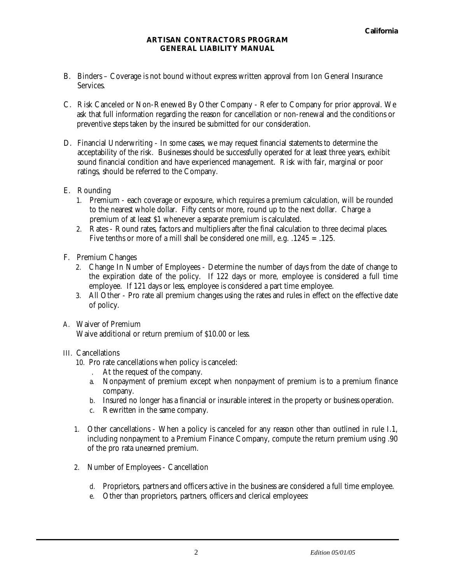- B. Binders Coverage is not bound without express written approval from Ion General Insurance Services.
- C. Risk Canceled or Non-Renewed By Other Company Refer to Company for prior approval. We ask that full information regarding the reason for cancellation or non-renewal and the conditions or preventive steps taken by the insured be submitted for our consideration.
- D. Financial Underwriting In some cases, we may request financial statements to determine the acceptability of the risk. Businesses should be successfully operated for at least three years, exhibit sound financial condition and have experienced management. Risk with fair, marginal or poor ratings, should be referred to the Company.
- E. Rounding
	- 1. Premium each coverage or exposure, which requires a premium calculation, will be rounded to the nearest whole dollar. Fifty cents or more, round up to the next dollar. Charge a premium of at least \$1 whenever a separate premium is calculated.
	- 2. Rates Round rates, factors and multipliers after the final calculation to three decimal places. Five tenths or more of a mill shall be considered one mill, e.g. .1245 = .125.
- F. Premium Changes
	- 2. Change In Number of Employees Determine the number of days from the date of change to the expiration date of the policy. If 122 days or more, employee is considered a full time employee. If 121 days or less, employee is considered a part time employee.
	- 3. All Other Pro rate all premium changes using the rates and rules in effect on the effective date of policy.
- A. Waiver of Premium

Waive additional or return premium of \$10.00 or less.

## III. Cancellations

- 10. Pro rate cancellations when policy is canceled:
	- . At the request of the company.
	- a. Nonpayment of premium except when nonpayment of premium is to a premium finance company.
	- b. Insured no longer has a financial or insurable interest in the property or business operation.
	- c. Rewritten in the same company.
- 1. Other cancellations When a policy is canceled for any reason other than outlined in rule I.1, including nonpayment to a Premium Finance Company, compute the return premium using .90 of the pro rata unearned premium.
- 2. Number of Employees Cancellation
	- d. Proprietors, partners and officers active in the business are considered a full time employee.
	- e. Other than proprietors, partners, officers and clerical employees: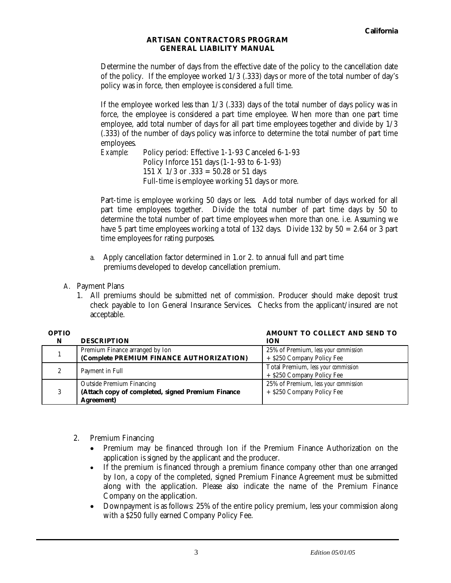Determine the number of days from the effective date of the policy to the cancellation date of the policy. If the employee worked 1/3 (.333) days or more of the total number of day's policy was in force, then employee is considered a full time.

If the employee worked less than 1/3 (.333) days of the total number of days policy was in force, the employee is considered a part time employee. When more than one part time employee, add total number of days for all part time employees together and divide by 1/3 (.333) of the number of days policy was inforce to determine the total number of part time employees.

*Example:* Policy period: Effective 1-1-93 Canceled 6-1-93 Policy Inforce 151 days (1-1-93 to 6-1-93) 151 X 1/3 or .333 = 50.28 or 51 days Full-time is employee working 51 days or more.

Part-time is employee working 50 days or less. Add total number of days worked for all part time employees together. Divide the total number of part time days by 50 to determine the total number of part time employees when more than one. i.e. Assuming we have 5 part time employees working a total of 132 days. Divide 132 by 50 = 2.64 or 3 part time employees for rating purposes.

- a. Apply cancellation factor determined in 1.or 2. to annual full and part time premiums developed to develop cancellation premium.
- A. Payment Plans

 $\Omega$ 

1. All premiums should be submitted net of commission. Producer should make deposit trust check payable to Ion General Insurance Services. Checks from the applicant/insured are not acceptable.

| OPTIO |                                                   | AMOUNT TO COLLECT AND SEND TO        |
|-------|---------------------------------------------------|--------------------------------------|
|       | <b>DESCRIPTION</b>                                | <b>ION</b>                           |
|       | Premium Finance arranged by Ion                   | 25% of Premium, less your commission |
|       | (Complete PREMIUM FINANCE AUTHORIZATION)          | + \$250 Company Policy Fee           |
|       |                                                   | Total Premium, less your commission  |
|       | Payment in Full                                   | + \$250 Company Policy Fee           |
| 3     | <b>Outside Premium Financing</b>                  | 25% of Premium, less your commission |
|       | (Attach copy of completed, signed Premium Finance | + \$250 Company Policy Fee           |
|       | <b>Agreement</b> )                                |                                      |

- 2. Premium Financing
	- Premium may be financed through Ion if the Premium Finance Authorization on the application is signed by the applicant and the producer.
	- If the premium is financed through a premium finance company other than one arranged by Ion, a copy of the completed, signed Premium Finance Agreement must be submitted along with the application. Please also indicate the name of the Premium Finance Company on the application.
	- Downpayment is as follows: 25% of the entire policy premium, less your commission along with a \$250 fully earned Company Policy Fee.

**AMOUNT TO COLLECT AND SEND TO**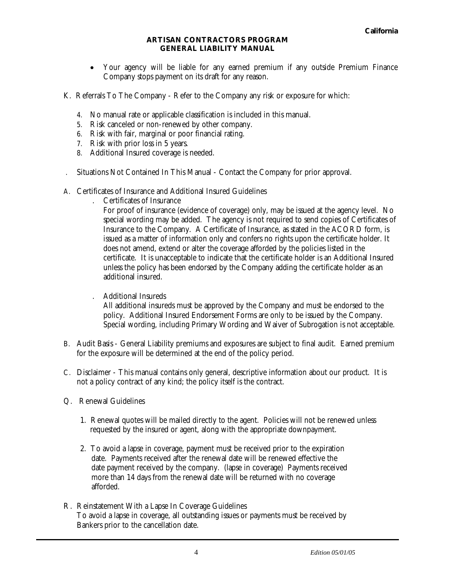- Your agency will be liable for any earned premium if any outside Premium Finance Company stops payment on its draft for any reason.
- K. Referrals To The Company Refer to the Company any risk or exposure for which:
	- 4. No manual rate or applicable classification is included in this manual.
	- 5. Risk canceled or non-renewed by other company.
	- 6. Risk with fair, marginal or poor financial rating.
	- 7. Risk with prior loss in 5 years.
	- 8. Additional Insured coverage is needed.
- . Situations Not Contained In This Manual Contact the Company for prior approval.
- A. Certificates of Insurance and Additional Insured Guidelines
	- . Certificates of Insurance

For proof of insurance (evidence of coverage) only, may be issued at the agency level. No special wording may be added. The agency is not required to send copies of Certificates of Insurance to the Company. A Certificate of Insurance, as stated in the ACORD form, is issued as a matter of information only and confers no rights upon the certificate holder. It does not amend, extend or alter the coverage afforded by the policies listed in the certificate. It is unacceptable to indicate that the certificate holder is an Additional Insured unless the policy has been endorsed by the Company adding the certificate holder as an additional insured.

. Additional Insureds

All additional insureds must be approved by the Company and must be endorsed to the policy. Additional Insured Endorsement Forms are only to be issued by the Company. Special wording, including Primary Wording and Waiver of Subrogation is not acceptable.

- B. Audit Basis General Liability premiums and exposures are subject to final audit. Earned premium for the exposure will be determined at the end of the policy period.
- C. Disclaimer This manual contains only general, descriptive information about our product. It is not a policy contract of any kind; the policy itself is the contract.
- Q. Renewal Guidelines
	- 1. Renewal quotes will be mailed directly to the agent. Policies will not be renewed unless requested by the insured or agent, along with the appropriate downpayment.
	- 2. To avoid a lapse in coverage, payment must be received prior to the expiration date. Payments received after the renewal date will be renewed effective the date payment received by the company. (lapse in coverage) Payments received more than 14 days from the renewal date will be returned with no coverage afforded.
- R. Reinstatement With a Lapse In Coverage Guidelines To avoid a lapse in coverage, all outstanding issues or payments must be received by Bankers prior to the cancellation date.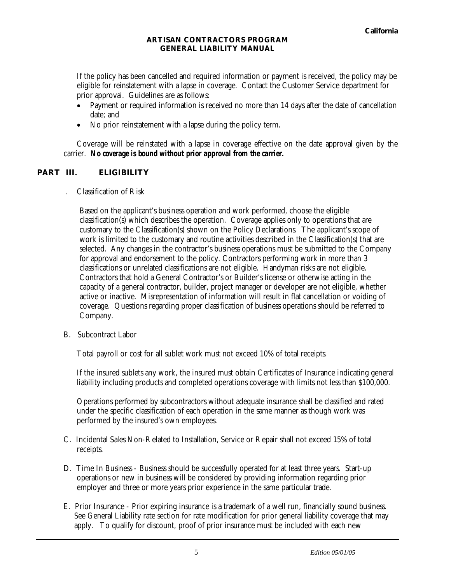If the policy has been cancelled and required information or payment is received, the policy may be eligible for reinstatement with a lapse in coverage. Contact the Customer Service department for prior approval. Guidelines are as follows:

- Payment or required information is received no more than 14 days after the date of cancellation date; and
- No prior reinstatement with a lapse during the policy term.

Coverage will be reinstated with a lapse in coverage effective on the date approval given by the carrier. *No coverage is bound without prior approval from the carrier.* 

## **PART III. ELIGIBILITY**

. Classification of Risk

Based on the applicant's business operation and work performed, choose the eligible classification(s) which describes the operation. Coverage applies only to operations that are customary to the Classification(s) shown on the Policy Declarations. The applicant's scope of work is limited to the customary and routine activities described in the Classification(s) that are selected. Any changes in the contractor's business operations must be submitted to the Company for approval and endorsement to the policy. Contractors performing work in more than 3 classifications or unrelated classifications are not eligible. Handyman risks are not eligible. Contractors that hold a General Contractor's or Builder's license or otherwise acting in the capacity of a general contractor, builder, project manager or developer are not eligible, whether active or inactive. Misrepresentation of information will result in flat cancellation or voiding of coverage. Questions regarding proper classification of business operations should be referred to Company.

B. Subcontract Labor

Total payroll or cost for all sublet work must not exceed 10% of total receipts.

If the insured sublets any work, the insured must obtain Certificates of Insurance indicating general liability including products and completed operations coverage with limits not less than \$100,000.

Operations performed by subcontractors without adequate insurance shall be classified and rated under the specific classification of each operation in the same manner as though work was performed by the insured's own employees.

- C. Incidental Sales Non-Related to Installation, Service or Repair shall not exceed 15% of total receipts.
- D. Time In Business Business should be successfully operated for at least three years. Start-up operations or new in business will be considered by providing information regarding prior employer and three or more years prior experience in the same particular trade.
- E. Prior Insurance Prior expiring insurance is a trademark of a well run, financially sound business. See General Liability rate section for rate modification for prior general liability coverage that may apply. To qualify for discount, proof of prior insurance must be included with each new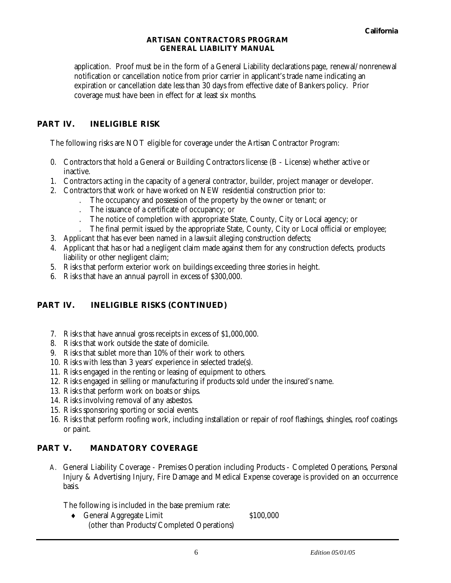application. Proof must be in the form of a General Liability declarations page, renewal/nonrenewal notification or cancellation notice from prior carrier in applicant's trade name indicating an expiration or cancellation date less than 30 days from effective date of Bankers policy. Prior coverage must have been in effect for at least six months.

## **PART IV. INELIGIBLE RISK**

The following risks are NOT eligible for coverage under the Artisan Contractor Program:

- 0. Contractors that hold a General or Building Contractors license (B License) whether active or inactive.
- 1. Contractors acting in the capacity of a general contractor, builder, project manager or developer.
- 2. Contractors that work or have worked on NEW residential construction prior to:
	- . The occupancy and possession of the property by the owner or tenant; or
	- . The issuance of a certificate of occupancy; or
	- . The notice of completion with appropriate State, County, City or Local agency; or
	- . The final permit issued by the appropriate State, County, City or Local official or employee;
- 3. Applicant that has ever been named in a lawsuit alleging construction defects;
- 4. Applicant that has or had a negligent claim made against them for any construction defects, products liability or other negligent claim;
- 5. Risks that perform exterior work on buildings exceeding three stories in height.
- 6. Risks that have an annual payroll in excess of \$300,000.

# **PART IV. INELIGIBLE RISKS (CONTINUED)**

- 7. Risks that have annual gross receipts in excess of \$1,000,000.
- 8. Risks that work outside the state of domicile.
- 9. Risks that sublet more than 10% of their work to others.
- 10. Risks with less than 3 years' experience in selected trade(s).
- 11. Risks engaged in the renting or leasing of equipment to others.
- 12. Risks engaged in selling or manufacturing if products sold under the insured's name.
- 13. Risks that perform work on boats or ships.
- 14. Risks involving removal of any asbestos.
- 15. Risks sponsoring sporting or social events.
- 16. Risks that perform roofing work, including installation or repair of roof flashings, shingles, roof coatings or paint.

## **PART V. MANDATORY COVERAGE**

A. General Liability Coverage - Premises Operation including Products - Completed Operations, Personal Injury & Advertising Injury, Fire Damage and Medical Expense coverage is provided on an occurrence basis.

The following is included in the base premium rate:

◆ General Aggregate Limit \$100,000 (other than Products/Completed Operations)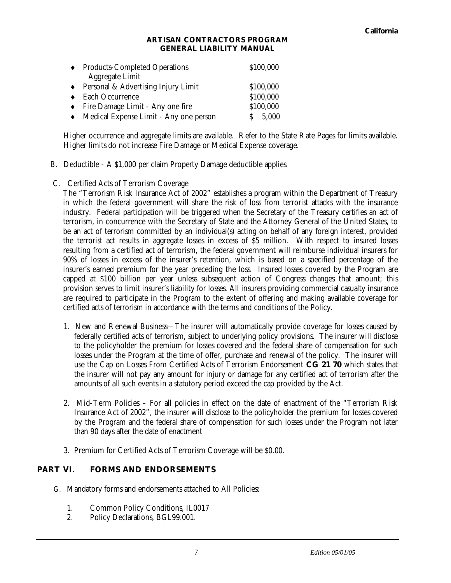| ♦ Products-Completed Operations               | \$100,000 |
|-----------------------------------------------|-----------|
| Aggregate Limit                               |           |
| $\bullet$ Personal & Advertising Injury Limit | \$100,000 |
| Each Occurrence                               | \$100,000 |
| Fire Damage Limit - Any one fire              | \$100,000 |
| • Medical Expense Limit - Any one person      | 5,000     |

Higher occurrence and aggregate limits are available. Refer to the State Rate Pages for limits available. Higher limits do not increase Fire Damage or Medical Expense coverage.

- B. Deductible A \$1,000 per claim Property Damage deductible applies.
- C. Certified Acts of Terrorism Coverage

The "Terrorism Risk Insurance Act of 2002" establishes a program within the Department of Treasury in which the federal government will share the risk of loss from terrorist attacks with the insurance industry. Federal participation will be triggered when the Secretary of the Treasury certifies an act of terrorism, in concurrence with the Secretary of State and the Attorney General of the United States, to be an act of terrorism committed by an individual(s) acting on behalf of any foreign interest, provided the terrorist act results in aggregate losses in excess of \$5 million. With respect to insured losses resulting from a certified act of terrorism, the federal government will reimburse individual insurers for 90% of losses in excess of the insurer's retention, which is based on a specified percentage of the insurer's earned premium for the year preceding the loss. Insured losses covered by the Program are capped at \$100 billion per year unless subsequent action of Congress changes that amount; this provision serves to limit insurer's liability for losses. All insurers providing commercial casualty insurance are required to participate in the Program to the extent of offering and making available coverage for certified acts of terrorism in accordance with the terms and conditions of the Policy.

- 1. New and Renewal Business—The insurer will automatically provide coverage for losses caused by federally certified acts of terrorism, subject to underlying policy provisions. The insurer will disclose to the policyholder the premium for losses covered and the federal share of compensation for such losses under the Program at the time of offer, purchase and renewal of the policy. The insurer will use the Cap on Losses From Certified Acts of Terrorism Endorsement **CG 21 70** which states that the insurer will not pay any amount for injury or damage for any certified act of terrorism after the amounts of all such events in a statutory period exceed the cap provided by the Act.
- 2. Mid-Term Policies For all policies in effect on the date of enactment of the "Terrorism Risk Insurance Act of 2002", the insurer will disclose to the policyholder the premium for losses covered by the Program and the federal share of compensation for such losses under the Program not later than 90 days after the date of enactment
- 3. Premium for Certified Acts of Terrorism Coverage will be \$0.00.

## **PART VI. FORMS AND ENDORSEMENTS**

- G. Mandatory forms and endorsements attached to All Policies:
	- 1. Common Policy Conditions, IL0017
	- 2. Policy Declarations, BGL99.001.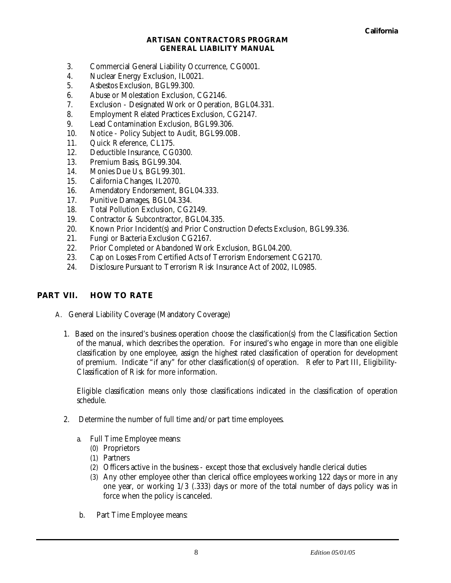- 3. Commercial General Liability Occurrence, CG0001.
- 4. Nuclear Energy Exclusion, IL0021.
- 5. Asbestos Exclusion, BGL99.300.
- 6. Abuse or Molestation Exclusion, CG2146.
- 7. Exclusion Designated Work or Operation, BGL04.331.
- 8. Employment Related Practices Exclusion, CG2147.
- 9. Lead Contamination Exclusion, BGL99.306.
- 10. Notice Policy Subject to Audit, BGL99.00B.
- 11. Quick Reference, CL175.
- 12. Deductible Insurance, CG0300.
- 13. Premium Basis, BGL99.304.
- 14. Monies Due Us, BGL99.301.
- 15. California Changes, IL2070.
- 16. Amendatory Endorsement, BGL04.333.
- 17. Punitive Damages, BGL04.334.
- 18. Total Pollution Exclusion, CG2149.
- 19. Contractor & Subcontractor, BGL04.335.
- 20. Known Prior Incident(s) and Prior Construction Defects Exclusion, BGL99.336.
- 21. Fungi or Bacteria Exclusion CG2167.
- 22. Prior Completed or Abandoned Work Exclusion, BGL04.200.
- 23. Cap on Losses From Certified Acts of Terrorism Endorsement CG2170.
- 24. Disclosure Pursuant to Terrorism Risk Insurance Act of 2002, IL0985.

## **PART VII. HOW TO RATE**

- A. General Liability Coverage (Mandatory Coverage)
	- 1. Based on the insured's business operation choose the classification(s) from the Classification Section of the manual, which describes the operation. For insured's who engage in more than one eligible classification by one employee, assign the highest rated classification of operation for development of premium. Indicate "if any" for other classification(s) of operation. Refer to Part III, Eligibility-Classification of Risk for more information.

Eligible classification means only those classifications indicated in the classification of operation schedule.

- 2. Determine the number of full time and/or part time employees.
	- a. Full Time Employee means:
		- (0) Proprietors
		- (1) Partners
		- (2) Officers active in the business except those that exclusively handle clerical duties
		- (3) Any other employee other than clerical office employees working 122 days or more in any one year, or working 1/3 (.333) days or more of the total number of days policy was in force when the policy is canceled.
	- b. Part Time Employee means: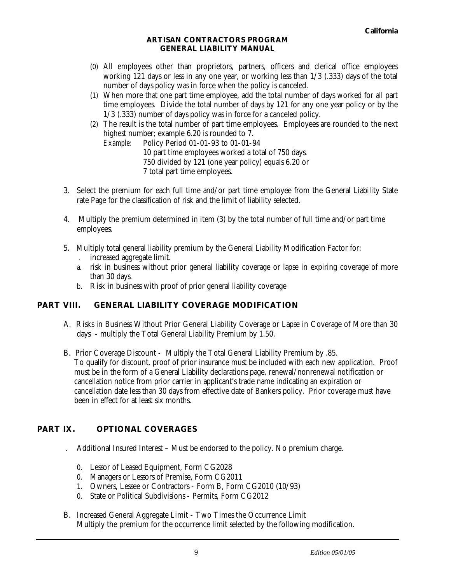- (0) All employees other than proprietors, partners, officers and clerical office employees working 121 days or less in any one year, or working less than 1/3 (.333) days of the total number of days policy was in force when the policy is canceled.
- (1) When more that one part time employee, add the total number of days worked for all part time employees. Divide the total number of days by 121 for any one year policy or by the 1/3 (.333) number of days policy was in force for a canceled policy.
- (2) The result is the total number of part time employees. Employees are rounded to the next highest number; example 6.20 is rounded to 7.

*Example:* Policy Period 01-01-93 to 01-01-94 10 part time employees worked a total of 750 days. 750 divided by 121 (one year policy) equals 6.20 or 7 total part time employees.

- 3. Select the premium for each full time and/or part time employee from the General Liability State rate Page for the classification of risk and the limit of liability selected.
- 4. Multiply the premium determined in item (3) by the total number of full time and/or part time employees.
- 5. Multiply total general liability premium by the General Liability Modification Factor for:
	- . increased aggregate limit.
	- a. risk in business without prior general liability coverage or lapse in expiring coverage of more than 30 days.
	- b. Risk in business with proof of prior general liability coverage

## **PART VIII. GENERAL LIABILITY COVERAGE MODIFICATION**

- A. Risks in Business Without Prior General Liability Coverage or Lapse in Coverage of More than 30 days - multiply the Total General Liability Premium by 1.50.
- B. Prior Coverage Discount Multiply the Total General Liability Premium by .85. To qualify for discount, proof of prior insurance must be included with each new application. Proof must be in the form of a General Liability declarations page, renewal/nonrenewal notification or cancellation notice from prior carrier in applicant's trade name indicating an expiration or cancellation date less than 30 days from effective date of Bankers policy. Prior coverage must have been in effect for at least six months.

# **PART IX. OPTIONAL COVERAGES**

. Additional Insured Interest – Must be endorsed to the policy. No premium charge.

- 0. Lessor of Leased Equipment, Form CG2028
- 0. Managers or Lessors of Premise, Form CG2011
- 1. Owners, Lessee or Contractors Form B, Form CG2010 (10/93)
- 0. State or Political Subdivisions Permits, Form CG2012
- B. Increased General Aggregate Limit Two Times the Occurrence Limit Multiply the premium for the occurrence limit selected by the following modification.